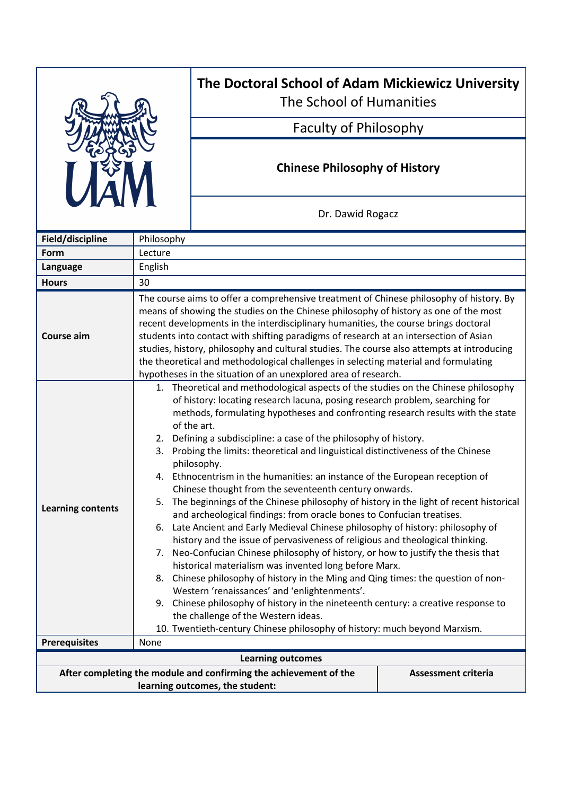

## **The Doctoral School of Adam Mickiewicz University**

The School of Humanities

Faculty of Philosophy

## **Chinese Philosophy of History**

Dr. Dawid Rogacz

| Field/discipline         | Philosophy                                                                                                                                                                                                                                                                                                                                                                                                                                                                                                                                                                                                                                                                                                                                                                                                                                                                                                                                                                                                                                                                                                                                                                                                                                                                                                                                                                                                                             |                            |
|--------------------------|----------------------------------------------------------------------------------------------------------------------------------------------------------------------------------------------------------------------------------------------------------------------------------------------------------------------------------------------------------------------------------------------------------------------------------------------------------------------------------------------------------------------------------------------------------------------------------------------------------------------------------------------------------------------------------------------------------------------------------------------------------------------------------------------------------------------------------------------------------------------------------------------------------------------------------------------------------------------------------------------------------------------------------------------------------------------------------------------------------------------------------------------------------------------------------------------------------------------------------------------------------------------------------------------------------------------------------------------------------------------------------------------------------------------------------------|----------------------------|
| Form                     | Lecture                                                                                                                                                                                                                                                                                                                                                                                                                                                                                                                                                                                                                                                                                                                                                                                                                                                                                                                                                                                                                                                                                                                                                                                                                                                                                                                                                                                                                                |                            |
| Language                 | English                                                                                                                                                                                                                                                                                                                                                                                                                                                                                                                                                                                                                                                                                                                                                                                                                                                                                                                                                                                                                                                                                                                                                                                                                                                                                                                                                                                                                                |                            |
| <b>Hours</b>             | 30                                                                                                                                                                                                                                                                                                                                                                                                                                                                                                                                                                                                                                                                                                                                                                                                                                                                                                                                                                                                                                                                                                                                                                                                                                                                                                                                                                                                                                     |                            |
| Course aim               | The course aims to offer a comprehensive treatment of Chinese philosophy of history. By<br>means of showing the studies on the Chinese philosophy of history as one of the most<br>recent developments in the interdisciplinary humanities, the course brings doctoral<br>students into contact with shifting paradigms of research at an intersection of Asian<br>studies, history, philosophy and cultural studies. The course also attempts at introducing<br>the theoretical and methodological challenges in selecting material and formulating<br>hypotheses in the situation of an unexplored area of research.                                                                                                                                                                                                                                                                                                                                                                                                                                                                                                                                                                                                                                                                                                                                                                                                                 |                            |
| <b>Learning contents</b> | 1. Theoretical and methodological aspects of the studies on the Chinese philosophy<br>of history: locating research lacuna, posing research problem, searching for<br>methods, formulating hypotheses and confronting research results with the state<br>of the art.<br>Defining a subdiscipline: a case of the philosophy of history.<br>2.<br>Probing the limits: theoretical and linguistical distinctiveness of the Chinese<br>3.<br>philosophy.<br>4. Ethnocentrism in the humanities: an instance of the European reception of<br>Chinese thought from the seventeenth century onwards.<br>The beginnings of the Chinese philosophy of history in the light of recent historical<br>5.<br>and archeological findings: from oracle bones to Confucian treatises.<br>6. Late Ancient and Early Medieval Chinese philosophy of history: philosophy of<br>history and the issue of pervasiveness of religious and theological thinking.<br>7. Neo-Confucian Chinese philosophy of history, or how to justify the thesis that<br>historical materialism was invented long before Marx.<br>8. Chinese philosophy of history in the Ming and Qing times: the question of non-<br>Western 'renaissances' and 'enlightenments'.<br>9. Chinese philosophy of history in the nineteenth century: a creative response to<br>the challenge of the Western ideas.<br>10. Twentieth-century Chinese philosophy of history: much beyond Marxism. |                            |
|                          | <b>Prerequisites</b><br>None                                                                                                                                                                                                                                                                                                                                                                                                                                                                                                                                                                                                                                                                                                                                                                                                                                                                                                                                                                                                                                                                                                                                                                                                                                                                                                                                                                                                           |                            |
|                          | <b>Learning outcomes</b>                                                                                                                                                                                                                                                                                                                                                                                                                                                                                                                                                                                                                                                                                                                                                                                                                                                                                                                                                                                                                                                                                                                                                                                                                                                                                                                                                                                                               |                            |
|                          | After completing the module and confirming the achievement of the<br>learning outcomes, the student:                                                                                                                                                                                                                                                                                                                                                                                                                                                                                                                                                                                                                                                                                                                                                                                                                                                                                                                                                                                                                                                                                                                                                                                                                                                                                                                                   | <b>Assessment criteria</b> |